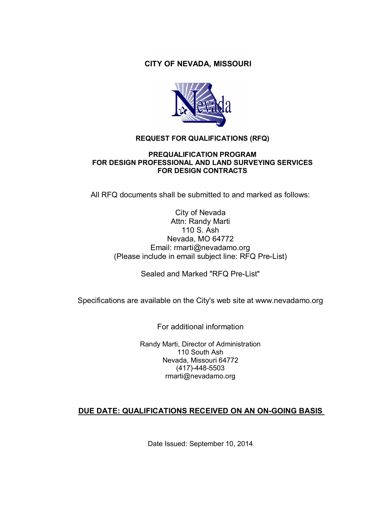### **CITY OF NEVADA, MISSOURI**



#### **REQUEST FOR QUALIFICATIONS (RFQ)**

#### **PREQUALIFICATION PROGRAM FOR DESIGN PROFESSIONAL AND LAND SURVEYING SERVICES FOR DESIGN CONTRACTS**

All RFQ documents shall be submitted to and marked as follows:

#### City of Nevada Attn: Randy Marti 110 S. Ash Nevada, MO 64772 Email: rmarti@nevadamo.org (Please include in email subject line: RFQ Pre-List)

Sealed and Marked "RFQ Pre-List"

Specifications are available on the City's web site at www.nevadamo.org

For additional information

Randy Marti, Director of Administration 110 South Ash Nevada, Missouri 64772 (417)-448-5503 rmarti@nevadamo.org

#### **DUE DATE: QUALIFICATIONS RECEIVED ON AN ON-GOING BASIS**

Date Issued: September 10, 2014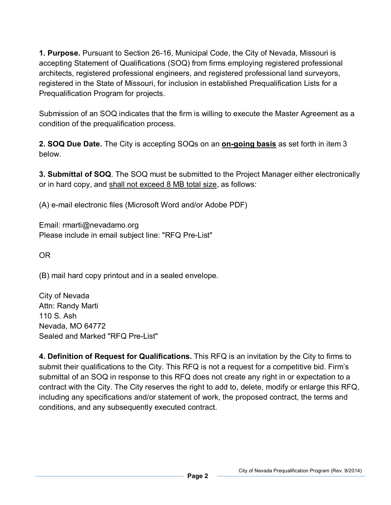**1. Purpose.** Pursuant to Section 26-16, Municipal Code, the City of Nevada, Missouri is accepting Statement of Qualifications (SOQ) from firms employing registered professional architects, registered professional engineers, and registered professional land surveyors, registered in the State of Missouri, for inclusion in established Prequalification Lists for a Prequalification Program for projects.

Submission of an SOQ indicates that the firm is willing to execute the Master Agreement as a condition of the prequalification process.

**2. SOQ Due Date.** The City is accepting SOQs on an **on-going basis** as set forth in item 3 below.

**3. Submittal of SOQ**. The SOQ must be submitted to the Project Manager either electronically or in hard copy, and shall not exceed 8 MB total size, as follows:

(A) e-mail electronic files (Microsoft Word and/or Adobe PDF)

Email: rmarti@nevadamo.org Please include in email subject line: "RFQ Pre-List"

OR

(B) mail hard copy printout and in a sealed envelope.

City of Nevada Attn: Randy Marti 110 S. Ash Nevada, MO 64772 Sealed and Marked "RFQ Pre-List"

**4. Definition of Request for Qualifications.** This RFQ is an invitation by the City to firms to submit their qualifications to the City. This RFQ is not a request for a competitive bid. Firm's submittal of an SOQ in response to this RFQ does not create any right in or expectation to a contract with the City. The City reserves the right to add to, delete, modify or enlarge this RFQ, including any specifications and/or statement of work, the proposed contract, the terms and conditions, and any subsequently executed contract.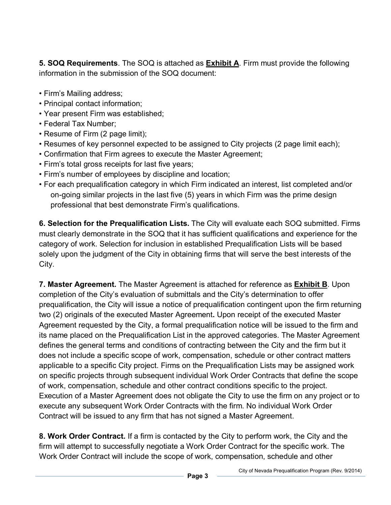**5. SOQ Requirements**. The SOQ is attached as **Exhibit A**. Firm must provide the following information in the submission of the SOQ document:

- Firm's Mailing address;
- Principal contact information;
- Year present Firm was established;
- Federal Tax Number;
- Resume of Firm (2 page limit);
- Resumes of key personnel expected to be assigned to City projects (2 page limit each);
- Confirmation that Firm agrees to execute the Master Agreement;
- Firm's total gross receipts for last five years;
- Firm's number of employees by discipline and location;
- For each prequalification category in which Firm indicated an interest, list completed and/or on-going similar projects in the last five (5) years in which Firm was the prime design professional that best demonstrate Firm's qualifications.

**6. Selection for the Prequalification Lists.** The City will evaluate each SOQ submitted. Firms must clearly demonstrate in the SOQ that it has sufficient qualifications and experience for the category of work. Selection for inclusion in established Prequalification Lists will be based solely upon the judgment of the City in obtaining firms that will serve the best interests of the City.

**7. Master Agreement.** The Master Agreement is attached for reference as **Exhibit B**. Upon completion of the City's evaluation of submittals and the City's determination to offer prequalification, the City will issue a notice of prequalification contingent upon the firm returning two (2) originals of the executed Master Agreement**.** Upon receipt of the executed Master Agreement requested by the City, a formal prequalification notice will be issued to the firm and its name placed on the Prequalification List in the approved categories. The Master Agreement defines the general terms and conditions of contracting between the City and the firm but it does not include a specific scope of work, compensation, schedule or other contract matters applicable to a specific City project. Firms on the Prequalification Lists may be assigned work on specific projects through subsequent individual Work Order Contracts that define the scope of work, compensation, schedule and other contract conditions specific to the project. Execution of a Master Agreement does not obligate the City to use the firm on any project or to execute any subsequent Work Order Contracts with the firm. No individual Work Order Contract will be issued to any firm that has not signed a Master Agreement.

**8. Work Order Contract.** If a firm is contacted by the City to perform work, the City and the firm will attempt to successfully negotiate a Work Order Contract for the specific work. The Work Order Contract will include the scope of work, compensation, schedule and other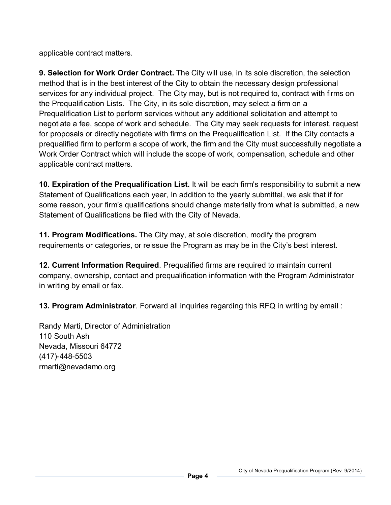applicable contract matters.

**9. Selection for Work Order Contract.** The City will use, in its sole discretion, the selection method that is in the best interest of the City to obtain the necessary design professional services for any individual project. The City may, but is not required to, contract with firms on the Prequalification Lists. The City, in its sole discretion, may select a firm on a Prequalification List to perform services without any additional solicitation and attempt to negotiate a fee, scope of work and schedule. The City may seek requests for interest, request for proposals or directly negotiate with firms on the Prequalification List. If the City contacts a prequalified firm to perform a scope of work, the firm and the City must successfully negotiate a Work Order Contract which will include the scope of work, compensation, schedule and other applicable contract matters.

**10. Expiration of the Prequalification List.** It will be each firm's responsibility to submit a new Statement of Qualifications each year, In addition to the yearly submittal, we ask that if for some reason, your firm's qualifications should change materially from what is submitted, a new Statement of Qualifications be filed with the City of Nevada.

**11. Program Modifications.** The City may, at sole discretion, modify the program requirements or categories, or reissue the Program as may be in the City's best interest.

**12. Current Information Required**. Prequalified firms are required to maintain current company, ownership, contact and prequalification information with the Program Administrator in writing by email or fax.

**13. Program Administrator**. Forward all inquiries regarding this RFQ in writing by email :

Randy Marti, Director of Administration 110 South Ash Nevada, Missouri 64772 (417)-448-5503 rmarti@nevadamo.org